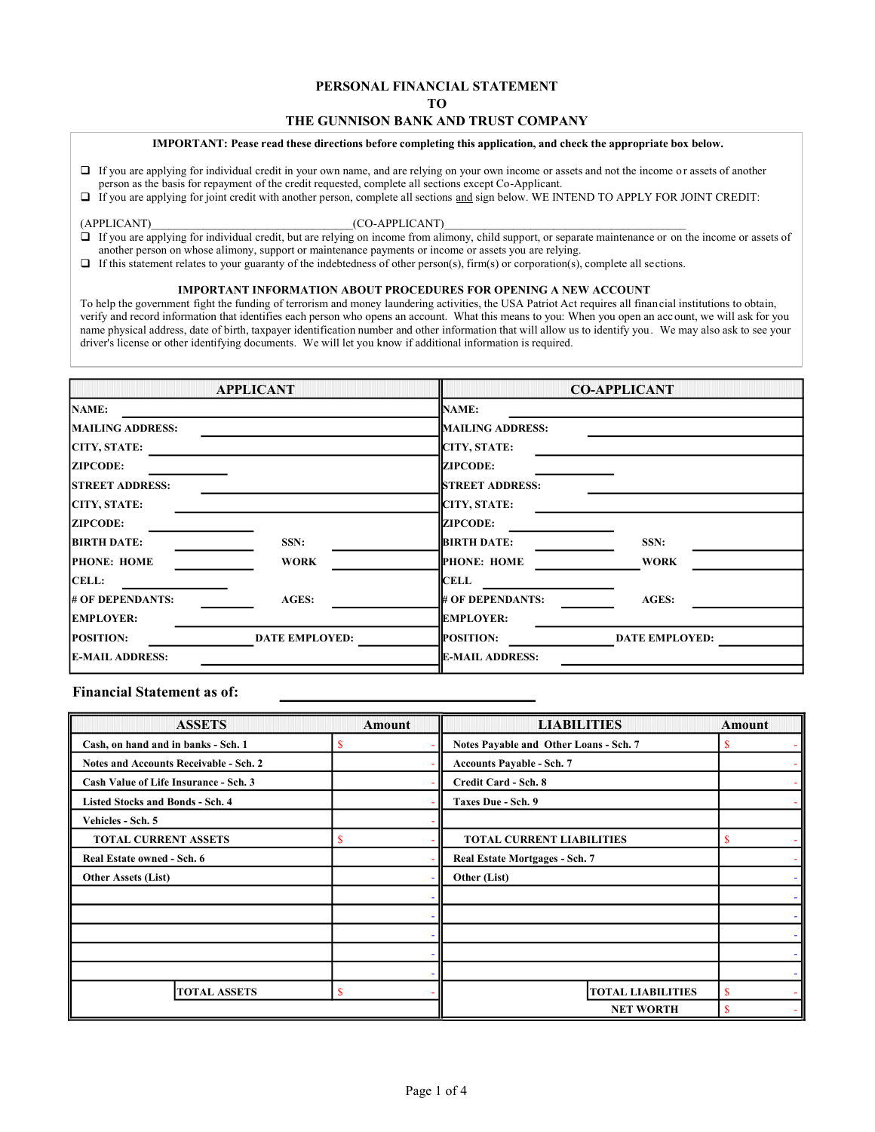# PERSONAL FINANCIAL STATEMENT

TO

# THE GUNNISON BANK AND TRUST COMPANY

## IMPORTANT: Pease read these directions before completing this application, and check the appropriate box below.

- If you are applying for individual credit in your own name, and are relying on your own income or assets and not the income or assets of another person as the basis for repayment of the credit requested, complete all sections except Co-Applicant.
- If you are applying for joint credit with another person, complete all sections and sign below. WE INTEND TO APPLY FOR JOINT CREDIT:

### (APPLICANT) (CO-APPLICANT)

- If you are applying for individual credit, but are relying on income from alimony, child support, or separate maintenance or on the income or assets of another person on whose alimony, support or maintenance payments or income or assets you are relying.
- $\Box$  If this statement relates to your guaranty of the indebtedness of other person(s), firm(s) or corporation(s), complete all sections.

## IMPORTANT INFORMATION ABOUT PROCEDURES FOR OPENING A NEW ACCOUNT

To help the government fight the funding of terrorism and money laundering activities, the USA Patriot Act requires all financial institutions to obtain, verify and record information that identifies each person who opens an account. What this means to you: When you open an acc ount, we will ask for you name physical address, date of birth, taxpayer identification number and other information that will allow us to identify you. We may also ask to see your driver's license or other identifying documents. We will let you know if additional information is required.

|                         | <b>APPLICANT</b>      |                         | <b>CO-APPLICANT</b>   |
|-------------------------|-----------------------|-------------------------|-----------------------|
| <b>NAME:</b>            |                       | NAME:                   |                       |
| <b>MAILING ADDRESS:</b> |                       | MAILING ADDRESS:        |                       |
| <b>CITY, STATE:</b>     |                       | CITY, STATE:            |                       |
| <b>ZIPCODE:</b>         |                       | <b>ZIPCODE:</b>         |                       |
| <b>STREET ADDRESS:</b>  |                       | <b>STREET ADDRESS:</b>  |                       |
| <b>CITY, STATE:</b>     |                       | CITY, STATE:            |                       |
| <b>ZIPCODE:</b>         |                       | <b>ZIPCODE:</b>         |                       |
| <b>BIRTH DATE:</b>      | SSN:                  | <b>BIRTH DATE:</b>      | SSN:                  |
| <b>PHONE: HOME</b>      | <b>WORK</b>           | <b>PHONE: HOME</b>      | <b>WORK</b>           |
| <b>CELL:</b>            |                       | <b>CELL</b>             |                       |
| # OF DEPENDANTS:        | AGES:                 | # OF DEPENDANTS:        | <b>AGES:</b>          |
| <b>EMPLOYER:</b>        |                       | <b>EMPLOYER:</b>        |                       |
| <b>POSITION:</b>        | <b>DATE EMPLOYED:</b> | <b>POSITION:</b>        | <b>DATE EMPLOYED:</b> |
| <b>E-MAIL ADDRESS:</b>  |                       | <b>IE-MAIL ADDRESS:</b> |                       |

# Financial Statement as of:

| <b>ASSETS</b>                                 | Amount | <b>LIABILITIES</b>                     | Amount |
|-----------------------------------------------|--------|----------------------------------------|--------|
| Cash, on hand and in banks - Sch. 1           | S      | Notes Payable and Other Loans - Sch. 7 | S      |
| <b>Notes and Accounts Receivable - Sch. 2</b> |        | <b>Accounts Payable - Sch. 7</b>       |        |
| Cash Value of Life Insurance - Sch. 3         |        | Credit Card - Sch. 8                   |        |
| <b>Listed Stocks and Bonds - Sch. 4</b>       |        | Taxes Due - Sch. 9                     |        |
| Vehicles - Sch. 5                             |        |                                        |        |
| <b>TOTAL CURRENT ASSETS</b>                   |        | <b>TOTAL CURRENT LIABILITIES</b>       | S      |
| Real Estate owned - Sch. 6                    |        | Real Estate Mortgages - Sch. 7         |        |
| <b>Other Assets (List)</b>                    |        | Other (List)                           |        |
|                                               |        |                                        |        |
|                                               |        |                                        |        |
|                                               |        |                                        |        |
|                                               |        |                                        |        |
|                                               |        |                                        |        |
| <b>TOTAL ASSETS</b>                           | S      | <b>TOTAL LIABILITIES</b>               | S      |
|                                               |        | <b>NET WORTH</b>                       | S      |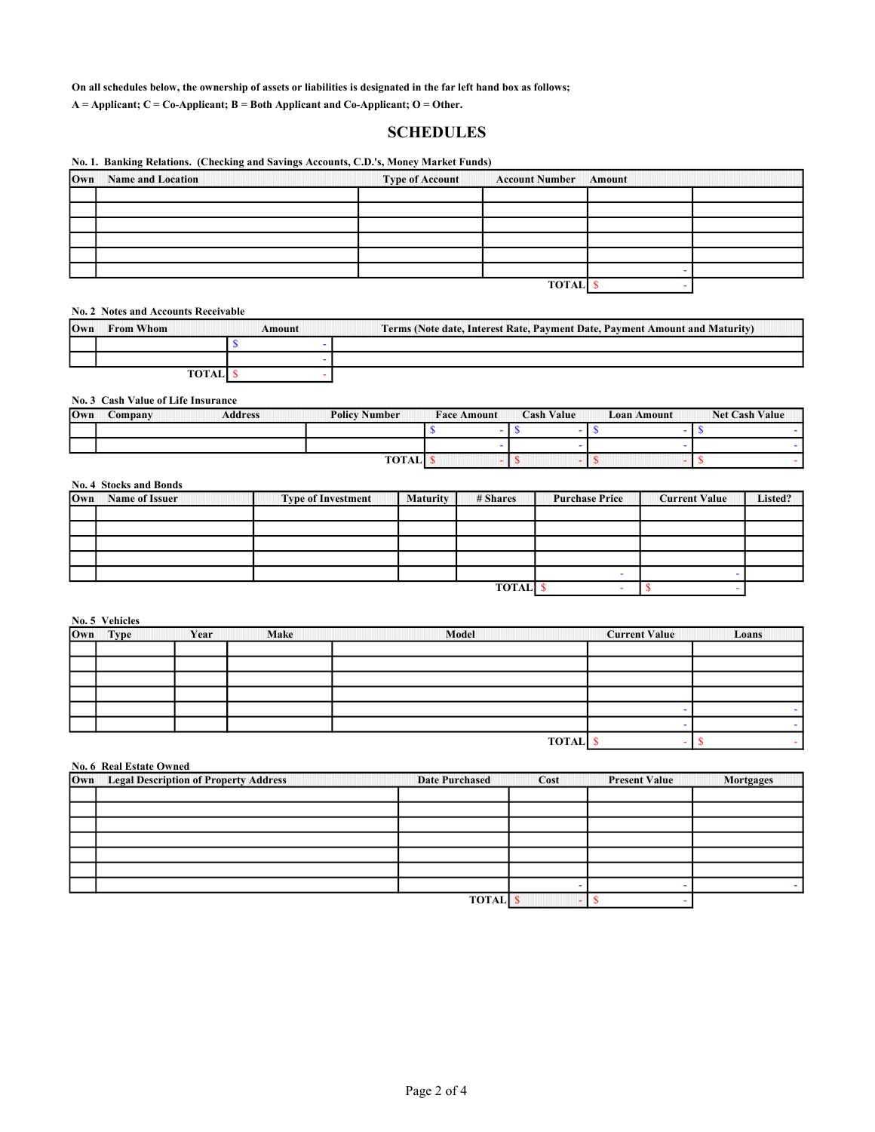On all schedules below, the ownership of assets or liabilities is designated in the far left hand box as follows;

 $A =$  Applicant;  $C =$  Co-Applicant;  $B =$  Both Applicant and Co-Applicant; O = Other.

# SCHEDULES

## No. 1. Banking Relations. (Checking and Savings Accounts, C.D.'s, Money Market Funds)

| <b>Own</b> Name and Location | <b>Type of Account</b> | <b>Account Number Amount</b> |  |
|------------------------------|------------------------|------------------------------|--|
|                              |                        |                              |  |
|                              |                        |                              |  |
|                              |                        |                              |  |
|                              |                        |                              |  |
|                              |                        |                              |  |
|                              |                        |                              |  |
|                              |                        | <b>TOTAL</b>                 |  |

No. 2 Notes and Accounts Receivable

| 10wn | <b>From Whom</b> | Amount | Terms (Note date, Interest Rate, Payment Date, Payment Amount and Maturity) |
|------|------------------|--------|-----------------------------------------------------------------------------|
|      |                  |        |                                                                             |
|      |                  |        |                                                                             |
|      |                  |        |                                                                             |

# No. 3 Cash Value of Life Insurance

| <b>Own</b> | Company | <b>Address</b> | <b>Policy Number</b> | <b>Face Amount</b> | <b>Cash Value</b> | Loan Amount | <b>Net Cash Value</b> |  |
|------------|---------|----------------|----------------------|--------------------|-------------------|-------------|-----------------------|--|
|            |         |                |                      |                    |                   |             |                       |  |
|            |         |                |                      |                    |                   |             |                       |  |
|            |         |                | <b>TOTALI</b>        |                    |                   |             |                       |  |

# No. 4 Stocks and Bonds

| Own | <b>Name of Issuer</b> | <b>Type of Investment</b> | <b>Maturity</b> | # Shares     | <b>Purchase Price</b> | <b>Current Value</b> | Listed? |
|-----|-----------------------|---------------------------|-----------------|--------------|-----------------------|----------------------|---------|
|     |                       |                           |                 |              |                       |                      |         |
|     |                       |                           |                 |              |                       |                      |         |
|     |                       |                           |                 |              |                       |                      |         |
|     |                       |                           |                 |              |                       |                      |         |
|     |                       |                           |                 |              |                       |                      |         |
|     |                       |                           |                 | <b>TOTAL</b> |                       |                      |         |

No. 5 Vehicles

| Own | Make<br>Year<br><b>Type</b> |  | Model |              |  | Loans |  |
|-----|-----------------------------|--|-------|--------------|--|-------|--|
|     |                             |  |       |              |  |       |  |
|     |                             |  |       |              |  |       |  |
|     |                             |  |       |              |  |       |  |
|     |                             |  |       |              |  |       |  |
|     |                             |  |       |              |  |       |  |
|     |                             |  |       |              |  |       |  |
|     |                             |  |       | <b>TOTAL</b> |  |       |  |

| No. 6 Real Estate Owned                   |                       |      |                      |                  |  |  |  |  |
|-------------------------------------------|-----------------------|------|----------------------|------------------|--|--|--|--|
| Own Legal Description of Property Address | <b>Date Purchased</b> | Cost | <b>Present Value</b> | <b>Mortgages</b> |  |  |  |  |
|                                           |                       |      |                      |                  |  |  |  |  |
|                                           |                       |      |                      |                  |  |  |  |  |
|                                           |                       |      |                      |                  |  |  |  |  |
|                                           |                       |      |                      |                  |  |  |  |  |
|                                           |                       |      |                      |                  |  |  |  |  |
|                                           |                       |      |                      |                  |  |  |  |  |
|                                           |                       |      |                      |                  |  |  |  |  |
|                                           | <b>TOTAL</b>          |      |                      |                  |  |  |  |  |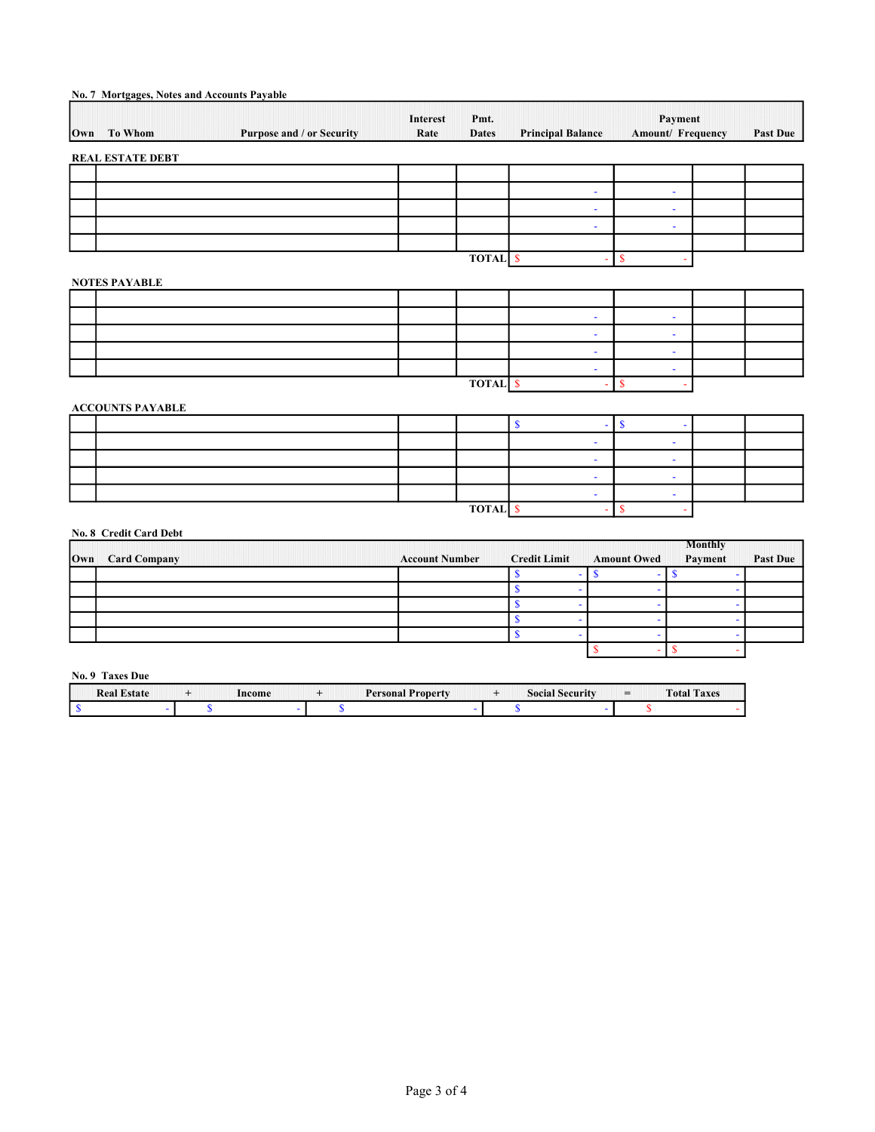|     | No. 7 Mortgages, Notes and Accounts Payable |                                  |                         |                      |                                         |                              |                 |
|-----|---------------------------------------------|----------------------------------|-------------------------|----------------------|-----------------------------------------|------------------------------|-----------------|
| Own | <b>To Whom</b>                              | <b>Purpose and / or Security</b> | <b>Interest</b><br>Rate | Pmt.<br><b>Dates</b> | <b>Principal Balance</b>                | Payment<br>Amount/ Frequency | <b>Past Due</b> |
|     | <b>REAL ESTATE DEBT</b>                     |                                  |                         |                      |                                         |                              |                 |
|     |                                             |                                  |                         |                      | $\overline{\phantom{a}}$                | $\blacksquare$               |                 |
|     |                                             |                                  |                         |                      | $\blacksquare$                          | $\overline{\phantom{0}}$     |                 |
|     |                                             |                                  |                         |                      | $\blacksquare$                          | ٠                            |                 |
|     |                                             |                                  |                         | <b>TOTAL</b> \$      |                                         | $\mathbf{\hat{s}}$           |                 |
|     | <b>NOTES PAYABLE</b>                        |                                  |                         |                      |                                         |                              |                 |
|     |                                             |                                  |                         |                      | $\blacksquare$                          | $\blacksquare$               |                 |
|     |                                             |                                  |                         |                      | $\overline{\phantom{a}}$                | $\overline{\phantom{a}}$     |                 |
|     |                                             |                                  |                         |                      | $\blacksquare$                          | $\overline{\phantom{a}}$     |                 |
|     |                                             |                                  |                         | <b>TOTAL</b> \$      | $\blacksquare$<br>٠                     | ۰<br>$\mathbf{\$}$           |                 |
|     | <b>ACCOUNTS PAYABLE</b>                     |                                  |                         |                      |                                         |                              |                 |
|     |                                             |                                  |                         |                      | $\mathbf S$<br>$\overline{\phantom{a}}$ | $\mathbf{\$}$<br>۰           |                 |
|     |                                             |                                  |                         |                      | $\overline{\phantom{a}}$                | $\overline{\phantom{a}}$     |                 |

|  | <b>TOTAL</b> |  |  |
|--|--------------|--|--|

# No. 8 Credit Card Debt

|                  |                       |                     |                    | <b>Monthly</b> |                 |
|------------------|-----------------------|---------------------|--------------------|----------------|-----------------|
| Own Card Company | <b>Account Number</b> | <b>Credit Limit</b> | <b>Amount Owed</b> | Payment        | <b>Past Due</b> |
|                  |                       |                     |                    |                |                 |
|                  |                       |                     |                    |                |                 |
|                  |                       |                     |                    |                |                 |
|                  |                       |                     |                    |                |                 |
|                  |                       |                     |                    |                |                 |
|                  |                       |                     |                    |                |                 |

# No. 9 Taxes Due

| <b>Real Estate</b> | Income | ' Property<br>Personal | <b>CONTRACTOR</b><br><b>Social Security</b> | $=$ | <b>Total Taxes</b> |  |
|--------------------|--------|------------------------|---------------------------------------------|-----|--------------------|--|
|                    |        |                        |                                             |     |                    |  |